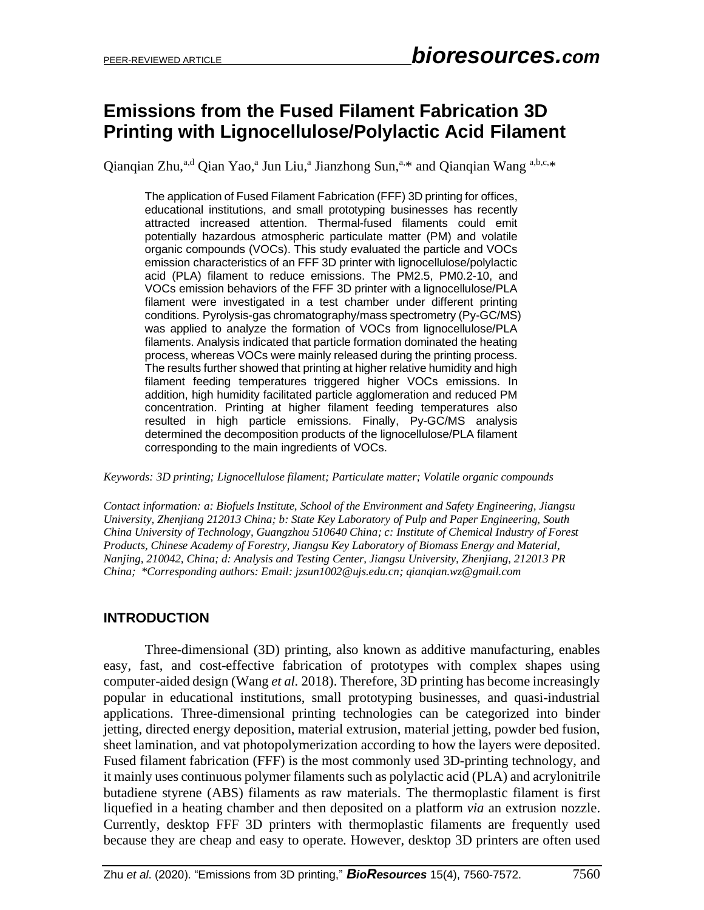## **Emissions from the Fused Filament Fabrication 3D Printing with Lignocellulose/Polylactic Acid Filament**

Qianqian Zhu,<sup>a,d</sup> Qian Yao,<sup>a</sup> Jun Liu,<sup>a</sup> Jianzhong Sun,<sup>a,\*</sup> and Qianqian Wang <sup>a,b,c,\*</sup>

The application of Fused Filament Fabrication (FFF) 3D printing for offices, educational institutions, and small prototyping businesses has recently attracted increased attention. Thermal-fused filaments could emit potentially hazardous atmospheric particulate matter (PM) and volatile organic compounds (VOCs). This study evaluated the particle and VOCs emission characteristics of an FFF 3D printer with lignocellulose/polylactic acid (PLA) filament to reduce emissions. The PM2.5, PM0.2-10, and VOCs emission behaviors of the FFF 3D printer with a lignocellulose/PLA filament were investigated in a test chamber under different printing conditions. Pyrolysis-gas chromatography/mass spectrometry (Py-GC/MS) was applied to analyze the formation of VOCs from lignocellulose/PLA filaments. Analysis indicated that particle formation dominated the heating process, whereas VOCs were mainly released during the printing process. The results further showed that printing at higher relative humidity and high filament feeding temperatures triggered higher VOCs emissions. In addition, high humidity facilitated particle agglomeration and reduced PM concentration. Printing at higher filament feeding temperatures also resulted in high particle emissions. Finally, Py-GC/MS analysis determined the decomposition products of the lignocellulose/PLA filament corresponding to the main ingredients of VOCs.

*Keywords: 3D printing; Lignocellulose filament; Particulate matter; Volatile organic compounds*

*Contact information: a: Biofuels Institute, School of the Environment and Safety Engineering, Jiangsu University, Zhenjiang 212013 China; b: State Key Laboratory of Pulp and Paper Engineering, South China University of Technology, Guangzhou 510640 China; c: Institute of Chemical Industry of Forest Products, Chinese Academy of Forestry, Jiangsu Key Laboratory of Biomass Energy and Material, Nanjing, 210042, China; d: Analysis and Testing Center, Jiangsu University, Zhenjiang, 212013 PR China; \*Corresponding authors: Email: jzsun1002@ujs.edu.cn; qianqian.wz@gmail.com*

#### **INTRODUCTION**

Three-dimensional (3D) printing, also known as additive manufacturing, enables easy, fast, and cost-effective fabrication of prototypes with complex shapes using computer-aided design (Wang *et al.* 2018). Therefore, 3D printing has become increasingly popular in educational institutions, small prototyping businesses, and quasi-industrial applications. Three-dimensional printing technologies can be categorized into binder jetting, directed energy deposition, material extrusion, material jetting, powder bed fusion, sheet lamination, and vat photopolymerization according to how the layers were deposited. Fused filament fabrication (FFF) is the most commonly used 3D-printing technology, and it mainly uses continuous polymer filaments such as polylactic acid (PLA) and acrylonitrile butadiene styrene (ABS) filaments as raw materials. The thermoplastic filament is first liquefied in a heating chamber and then deposited on a platform *via* an extrusion nozzle. Currently, desktop FFF 3D printers with thermoplastic filaments are frequently used because they are cheap and easy to operate. However, desktop 3D printers are often used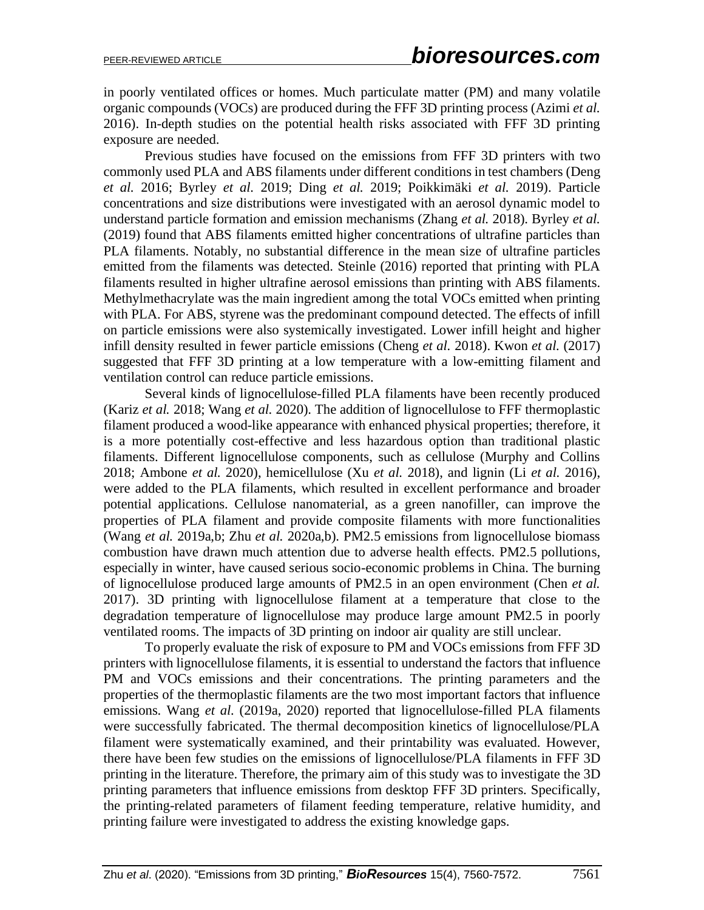in poorly ventilated offices or homes. Much particulate matter (PM) and many volatile organic compounds (VOCs) are produced during the FFF 3D printing process (Azimi *et al.* 2016). In-depth studies on the potential health risks associated with FFF 3D printing exposure are needed.

Previous studies have focused on the emissions from FFF 3D printers with two commonly used PLA and ABS filaments under different conditions in test chambers (Deng *et al.* 2016; Byrley *et al.* 2019; Ding *et al.* 2019; Poikkimäki *et al.* 2019). Particle concentrations and size distributions were investigated with an aerosol dynamic model to understand particle formation and emission mechanisms (Zhang *et al.* 2018). Byrley *et al.*  (2019) found that ABS filaments emitted higher concentrations of ultrafine particles than PLA filaments. Notably, no substantial difference in the mean size of ultrafine particles emitted from the filaments was detected. Steinle (2016) reported that printing with PLA filaments resulted in higher ultrafine aerosol emissions than printing with ABS filaments. Methylmethacrylate was the main ingredient among the total VOCs emitted when printing with PLA. For ABS, styrene was the predominant compound detected. The effects of infill on particle emissions were also systemically investigated. Lower infill height and higher infill density resulted in fewer particle emissions (Cheng *et al.* 2018). Kwon *et al.* (2017) suggested that FFF 3D printing at a low temperature with a low-emitting filament and ventilation control can reduce particle emissions.

Several kinds of lignocellulose-filled PLA filaments have been recently produced (Kariz *et al.* 2018; Wang *et al.* 2020). The addition of lignocellulose to FFF thermoplastic filament produced a wood-like appearance with enhanced physical properties; therefore, it is a more potentially cost-effective and less hazardous option than traditional plastic filaments. Different lignocellulose components, such as cellulose (Murphy and Collins 2018; Ambone *et al.* 2020), hemicellulose (Xu *et al.* 2018), and lignin (Li *et al.* 2016), were added to the PLA filaments, which resulted in excellent performance and broader potential applications. Cellulose nanomaterial, as a green nanofiller, can improve the properties of PLA filament and provide composite filaments with more functionalities (Wang *et al.* 2019a,b; Zhu *et al.* 2020a,b). PM2.5 emissions from lignocellulose biomass combustion have drawn much attention due to adverse health effects. PM2.5 pollutions, especially in winter, have caused serious socio-economic problems in China. The burning of lignocellulose produced large amounts of PM2.5 in an open environment (Chen *et al.* 2017). 3D printing with lignocellulose filament at a temperature that close to the degradation temperature of lignocellulose may produce large amount PM2.5 in poorly ventilated rooms. The impacts of 3D printing on indoor air quality are still unclear.

To properly evaluate the risk of exposure to PM and VOCs emissions from FFF 3D printers with lignocellulose filaments, it is essential to understand the factors that influence PM and VOCs emissions and their concentrations. The printing parameters and the properties of the thermoplastic filaments are the two most important factors that influence emissions. Wang *et al.* (2019a, 2020) reported that lignocellulose-filled PLA filaments were successfully fabricated. The thermal decomposition kinetics of lignocellulose/PLA filament were systematically examined, and their printability was evaluated. However, there have been few studies on the emissions of lignocellulose/PLA filaments in FFF 3D printing in the literature. Therefore, the primary aim of this study was to investigate the 3D printing parameters that influence emissions from desktop FFF 3D printers. Specifically, the printing-related parameters of filament feeding temperature, relative humidity, and printing failure were investigated to address the existing knowledge gaps.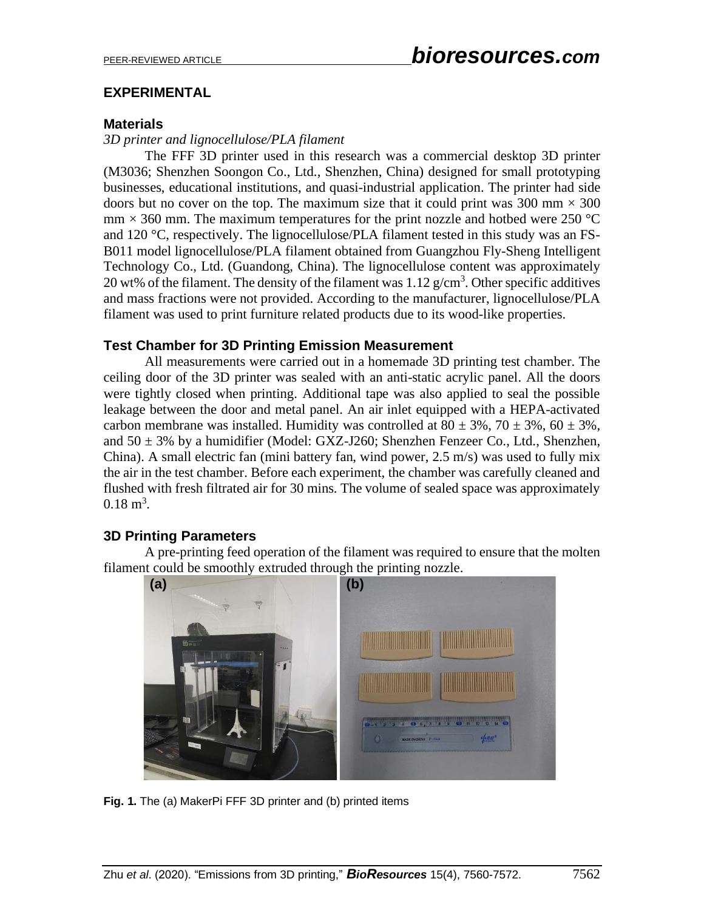#### **EXPERIMENTAL**

#### **Materials**

*3D printer and lignocellulose/PLA filament*

The FFF 3D printer used in this research was a commercial desktop 3D printer (M3036; Shenzhen Soongon Co., Ltd., Shenzhen, China) designed for small prototyping businesses, educational institutions, and quasi-industrial application. The printer had side doors but no cover on the top. The maximum size that it could print was  $300 \text{ mm} \times 300$  $mm \times 360$  mm. The maximum temperatures for the print nozzle and hotbed were 250 °C and 120 °C, respectively. The lignocellulose/PLA filament tested in this study was an FS-B011 model lignocellulose/PLA filament obtained from Guangzhou Fly-Sheng Intelligent Technology Co., Ltd. (Guandong, China). The lignocellulose content was approximately 20 wt% of the filament. The density of the filament was  $1.12 \text{ g/cm}^3$ . Other specific additives and mass fractions were not provided. According to the manufacturer, lignocellulose/PLA filament was used to print furniture related products due to its wood-like properties.

#### **Test Chamber for 3D Printing Emission Measurement**

All measurements were carried out in a homemade 3D printing test chamber. The ceiling door of the 3D printer was sealed with an anti-static acrylic panel. All the doors were tightly closed when printing. Additional tape was also applied to seal the possible leakage between the door and metal panel. An air inlet equipped with a HEPA-activated carbon membrane was installed. Humidity was controlled at  $80 \pm 3\%$ ,  $70 \pm 3\%$ ,  $60 \pm 3\%$ , and  $50 \pm 3$ % by a humidifier (Model: GXZ-J260; Shenzhen Fenzeer Co., Ltd., Shenzhen, China). A small electric fan (mini battery fan, wind power, 2.5 m/s) was used to fully mix the air in the test chamber. Before each experiment, the chamber was carefully cleaned and flushed with fresh filtrated air for 30 mins. The volume of sealed space was approximately  $0.18 \text{ m}^3$ .

#### **3D Printing Parameters**

A pre-printing feed operation of the filament was required to ensure that the molten filament could be smoothly extruded through the printing nozzle.



**Fig. 1.** The (a) MakerPi FFF 3D printer and (b) printed items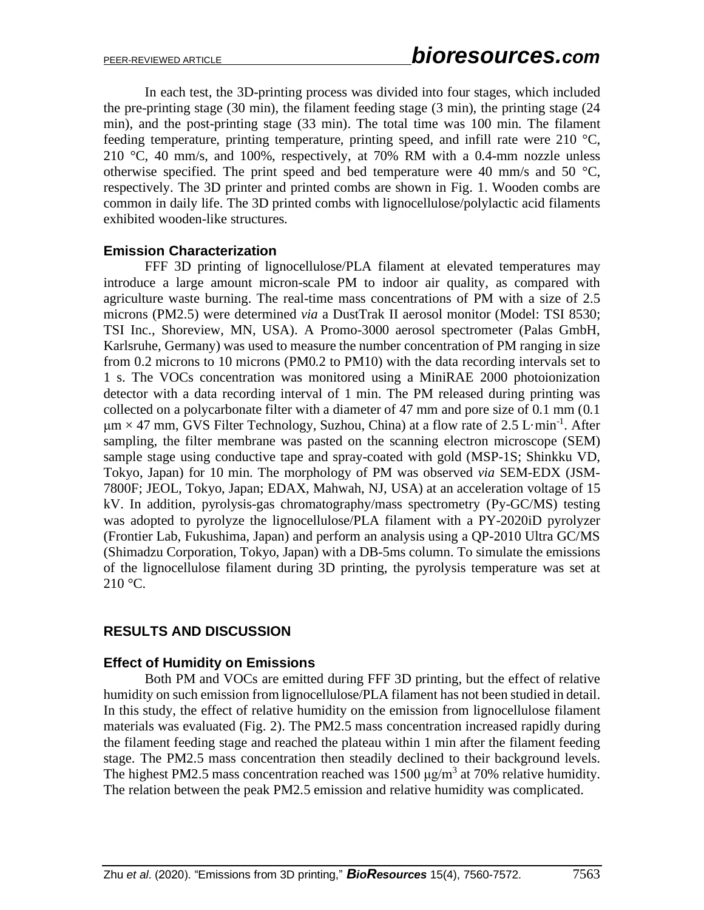In each test, the 3D-printing process was divided into four stages, which included the pre-printing stage (30 min), the filament feeding stage (3 min), the printing stage (24 min), and the post-printing stage (33 min). The total time was 100 min. The filament feeding temperature, printing temperature, printing speed, and infill rate were 210 °C, 210 °C, 40 mm/s, and 100%, respectively, at 70% RM with a 0.4-mm nozzle unless otherwise specified. The print speed and bed temperature were 40 mm/s and 50  $^{\circ}C$ , respectively. The 3D printer and printed combs are shown in Fig. 1. Wooden combs are common in daily life. The 3D printed combs with lignocellulose/polylactic acid filaments exhibited wooden-like structures.

#### **Emission Characterization**

FFF 3D printing of lignocellulose/PLA filament at elevated temperatures may introduce a large amount micron-scale PM to indoor air quality, as compared with agriculture waste burning. The real-time mass concentrations of PM with a size of 2.5 microns (PM2.5) were determined *via* a DustTrak II aerosol monitor (Model: TSI 8530; TSI Inc., Shoreview, MN, USA). A Promo-3000 aerosol spectrometer (Palas GmbH, Karlsruhe, Germany) was used to measure the number concentration of PM ranging in size from 0.2 microns to 10 microns (PM0.2 to PM10) with the data recording intervals set to 1 s. The VOCs concentration was monitored using a MiniRAE 2000 photoionization detector with a data recording interval of 1 min. The PM released during printing was collected on a polycarbonate filter with a diameter of 47 mm and pore size of 0.1 mm (0.1  $\mu$ m × 47 mm, GVS Filter Technology, Suzhou, China) at a flow rate of 2.5 L·min<sup>-1</sup>. After sampling, the filter membrane was pasted on the scanning electron microscope (SEM) sample stage using conductive tape and spray-coated with gold (MSP-1S; Shinkku VD, Tokyo, Japan) for 10 min. The morphology of PM was observed *via* SEM-EDX (JSM-7800F; JEOL, Tokyo, Japan; EDAX, Mahwah, NJ, USA) at an acceleration voltage of 15 kV. In addition, pyrolysis-gas chromatography/mass spectrometry (Py-GC/MS) testing was adopted to pyrolyze the lignocellulose/PLA filament with a PY-2020iD pyrolyzer (Frontier Lab, Fukushima, Japan) and perform an analysis using a QP-2010 Ultra GC/MS (Shimadzu Corporation, Tokyo, Japan) with a DB-5ms column. To simulate the emissions of the lignocellulose filament during 3D printing, the pyrolysis temperature was set at 210 °C.

#### **RESULTS AND DISCUSSION**

#### **Effect of Humidity on Emissions**

Both PM and VOCs are emitted during FFF 3D printing, but the effect of relative humidity on such emission from lignocellulose/PLA filament has not been studied in detail. In this study, the effect of relative humidity on the emission from lignocellulose filament materials was evaluated (Fig. 2). The PM2.5 mass concentration increased rapidly during the filament feeding stage and reached the plateau within 1 min after the filament feeding stage. The PM2.5 mass concentration then steadily declined to their background levels. The highest PM2.5 mass concentration reached was  $1500 \mu g/m^3$  at 70% relative humidity. The relation between the peak PM2.5 emission and relative humidity was complicated.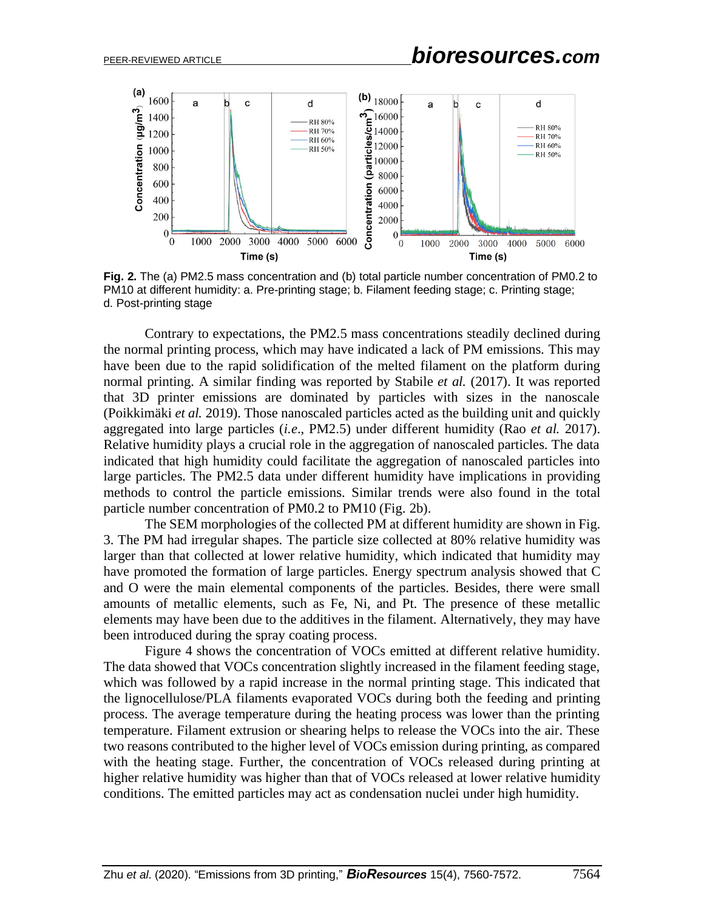

**Fig. 2.** The (a) PM2.5 mass concentration and (b) total particle number concentration of PM0.2 to PM10 at different humidity: a. Pre-printing stage; b. Filament feeding stage; c. Printing stage; d. Post-printing stage

Contrary to expectations, the PM2.5 mass concentrations steadily declined during the normal printing process, which may have indicated a lack of PM emissions. This may have been due to the rapid solidification of the melted filament on the platform during normal printing. A similar finding was reported by Stabile *et al.* (2017). It was reported that 3D printer emissions are dominated by particles with sizes in the nanoscale (Poikkimäki *et al.* 2019). Those nanoscaled particles acted as the building unit and quickly aggregated into large particles (*i.e*., PM2.5) under different humidity (Rao *et al.* 2017). Relative humidity plays a crucial role in the aggregation of nanoscaled particles. The data indicated that high humidity could facilitate the aggregation of nanoscaled particles into large particles. The PM2.5 data under different humidity have implications in providing methods to control the particle emissions. Similar trends were also found in the total particle number concentration of PM0.2 to PM10 (Fig. 2b).

The SEM morphologies of the collected PM at different humidity are shown in Fig. 3. The PM had irregular shapes. The particle size collected at 80% relative humidity was larger than that collected at lower relative humidity, which indicated that humidity may have promoted the formation of large particles. Energy spectrum analysis showed that C and O were the main elemental components of the particles. Besides, there were small amounts of metallic elements, such as Fe, Ni, and Pt. The presence of these metallic elements may have been due to the additives in the filament. Alternatively, they may have been introduced during the spray coating process.

Figure 4 shows the concentration of VOCs emitted at different relative humidity. The data showed that VOCs concentration slightly increased in the filament feeding stage, which was followed by a rapid increase in the normal printing stage. This indicated that the lignocellulose/PLA filaments evaporated VOCs during both the feeding and printing process. The average temperature during the heating process was lower than the printing temperature. Filament extrusion or shearing helps to release the VOCs into the air. These two reasons contributed to the higher level of VOCs emission during printing, as compared with the heating stage. Further, the concentration of VOCs released during printing at higher relative humidity was higher than that of VOCs released at lower relative humidity conditions. The emitted particles may act as condensation nuclei under high humidity.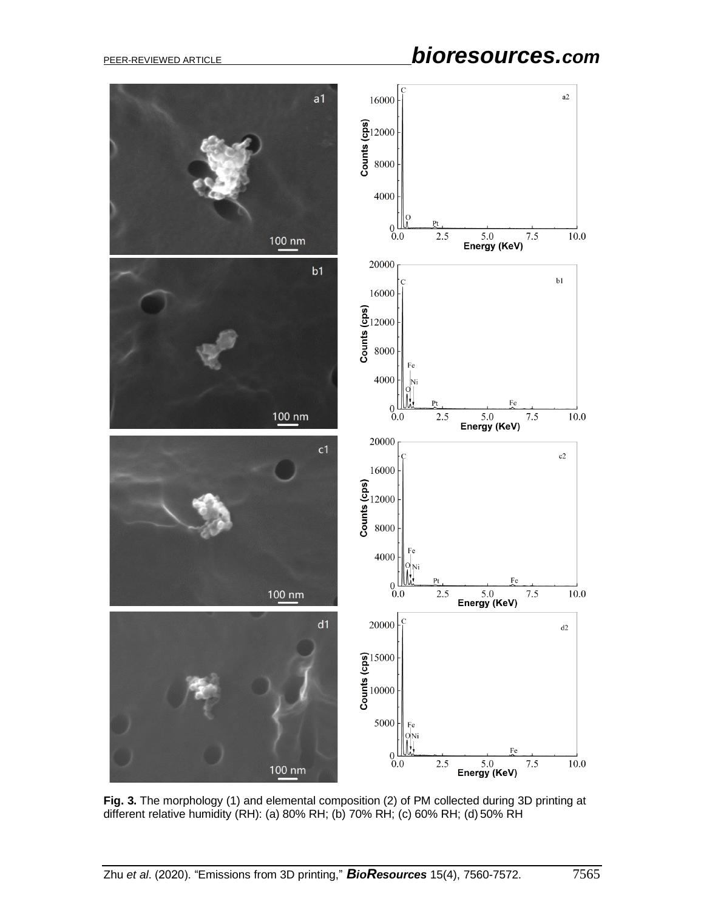# PEER-REVIEWED ARTICLE *bioresources.com*



**Fig. 3.** The morphology (1) and elemental composition (2) of PM collected during 3D printing at different relative humidity (RH): (a) 80% RH; (b) 70% RH; (c) 60% RH; (d) 50% RH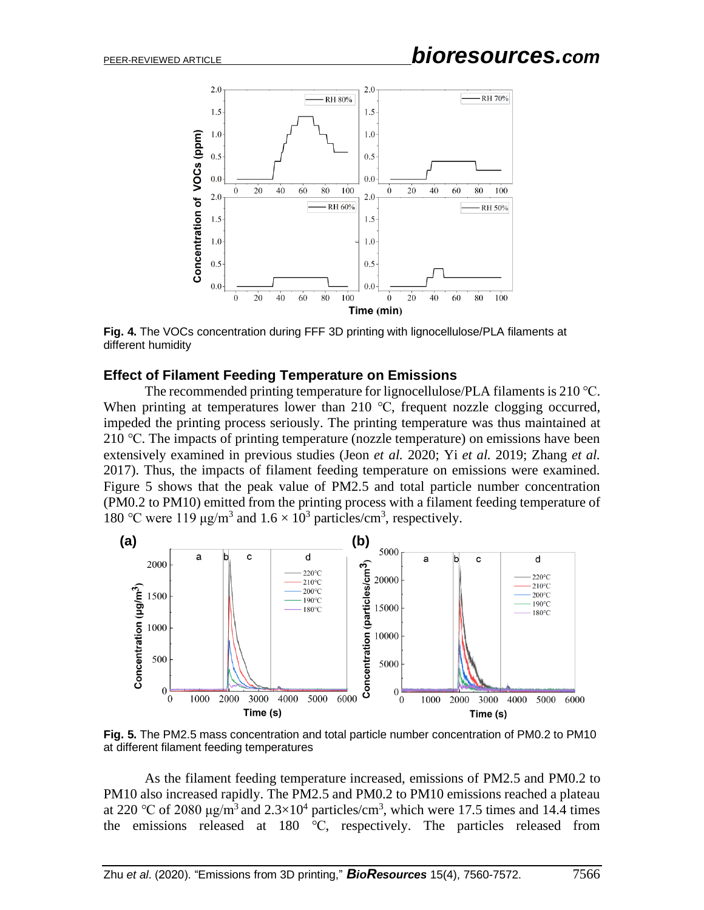

**Fig. 4.** The VOCs concentration during FFF 3D printing with lignocellulose/PLA filaments at different humidity

#### **Effect of Filament Feeding Temperature on Emissions**

The recommended printing temperature for lignocellulose/PLA filaments is 210 °C. When printing at temperatures lower than 210 °C, frequent nozzle clogging occurred, impeded the printing process seriously. The printing temperature was thus maintained at 210 ℃. The impacts of printing temperature (nozzle temperature) on emissions have been extensively examined in previous studies (Jeon *et al.* 2020; Yi *et al.* 2019; Zhang *et al.* 2017). Thus, the impacts of filament feeding temperature on emissions were examined. Figure 5 shows that the peak value of PM2.5 and total particle number concentration (PM0.2 to PM10) emitted from the printing process with a filament feeding temperature of 180 °C were 119 μg/m<sup>3</sup> and  $1.6 \times 10^3$  particles/cm<sup>3</sup>, respectively.



**Fig. 5.** The PM2.5 mass concentration and total particle number concentration of PM0.2 to PM10 at different filament feeding temperatures

As the filament feeding temperature increased, emissions of PM2.5 and PM0.2 to PM10 also increased rapidly. The PM2.5 and PM0.2 to PM10 emissions reached a plateau at 220 °C of 2080  $\mu$ g/m<sup>3</sup> and 2.3×10<sup>4</sup> particles/cm<sup>3</sup>, which were 17.5 times and 14.4 times the emissions released at 180 ℃, respectively. The particles released from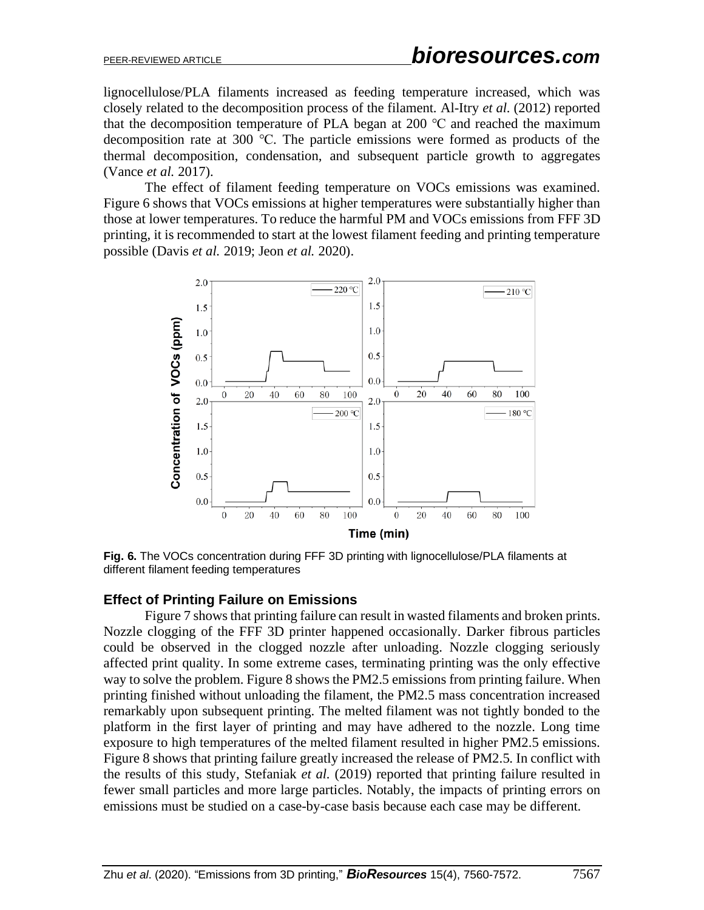lignocellulose/PLA filaments increased as feeding temperature increased, which was closely related to the decomposition process of the filament. Al-Itry *et al.* (2012) reported that the decomposition temperature of PLA began at 200  $\degree$ C and reached the maximum decomposition rate at 300 ℃. The particle emissions were formed as products of the thermal decomposition, condensation, and subsequent particle growth to aggregates (Vance *et al.* 2017).

The effect of filament feeding temperature on VOCs emissions was examined. Figure 6 shows that VOCs emissions at higher temperatures were substantially higher than those at lower temperatures. To reduce the harmful PM and VOCs emissions from FFF 3D printing, it is recommended to start at the lowest filament feeding and printing temperature possible (Davis *et al.* 2019; Jeon *et al.* 2020).



**Fig. 6.** The VOCs concentration during FFF 3D printing with lignocellulose/PLA filaments at different filament feeding temperatures

#### **Effect of Printing Failure on Emissions**

Figure 7 shows that printing failure can result in wasted filaments and broken prints. Nozzle clogging of the FFF 3D printer happened occasionally. Darker fibrous particles could be observed in the clogged nozzle after unloading. Nozzle clogging seriously affected print quality. In some extreme cases, terminating printing was the only effective way to solve the problem. Figure 8 shows the PM2.5 emissions from printing failure. When printing finished without unloading the filament, the PM2.5 mass concentration increased remarkably upon subsequent printing. The melted filament was not tightly bonded to the platform in the first layer of printing and may have adhered to the nozzle. Long time exposure to high temperatures of the melted filament resulted in higher PM2.5 emissions. Figure 8 shows that printing failure greatly increased the release of PM2.5. In conflict with the results of this study, Stefaniak *et al.* (2019) reported that printing failure resulted in fewer small particles and more large particles. Notably, the impacts of printing errors on emissions must be studied on a case-by-case basis because each case may be different.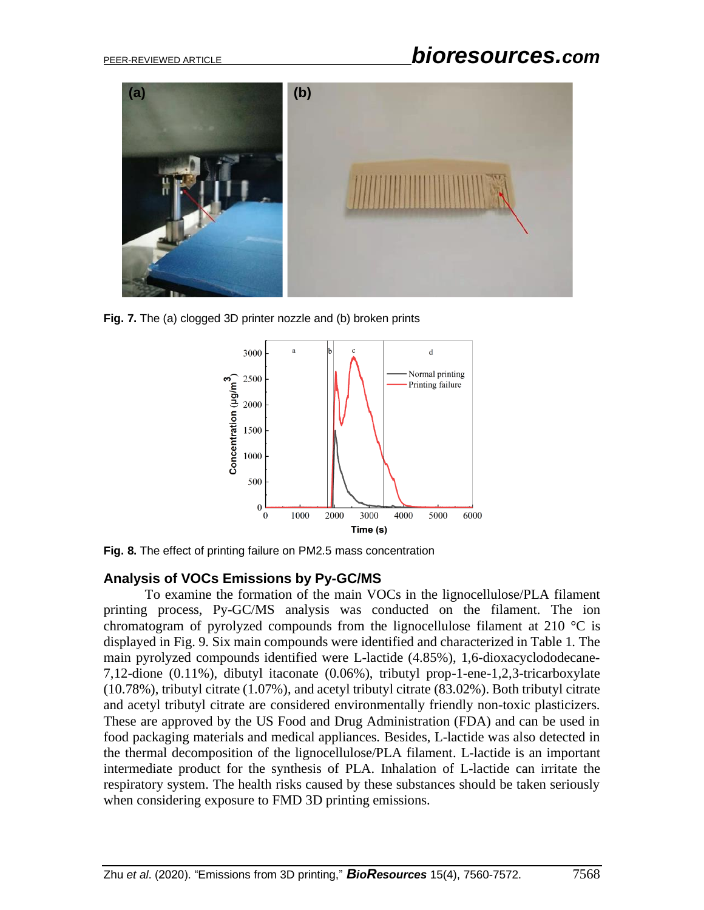

**Fig. 7.** The (a) clogged 3D printer nozzle and (b) broken prints



**Fig. 8.** The effect of printing failure on PM2.5 mass concentration

#### **Analysis of VOCs Emissions by Py-GC/MS**

To examine the formation of the main VOCs in the lignocellulose/PLA filament printing process, Py-GC/MS analysis was conducted on the filament. The ion chromatogram of pyrolyzed compounds from the lignocellulose filament at 210  $\degree$ C is displayed in Fig. 9. Six main compounds were identified and characterized in Table 1. The main pyrolyzed compounds identified were L-lactide (4.85%), 1,6-dioxacyclododecane-7,12-dione (0.11%), dibutyl itaconate (0.06%), tributyl prop-1-ene-1,2,3-tricarboxylate (10.78%), tributyl citrate (1.07%), and acetyl tributyl citrate (83.02%). Both tributyl citrate and acetyl tributyl citrate are considered environmentally friendly non-toxic plasticizers. These are approved by the US Food and Drug Administration (FDA) and can be used in food packaging materials and medical appliances. Besides, L-lactide was also detected in the thermal decomposition of the lignocellulose/PLA filament. L-lactide is an important intermediate product for the synthesis of PLA. Inhalation of L-lactide can irritate the respiratory system. The health risks caused by these substances should be taken seriously when considering exposure to FMD 3D printing emissions.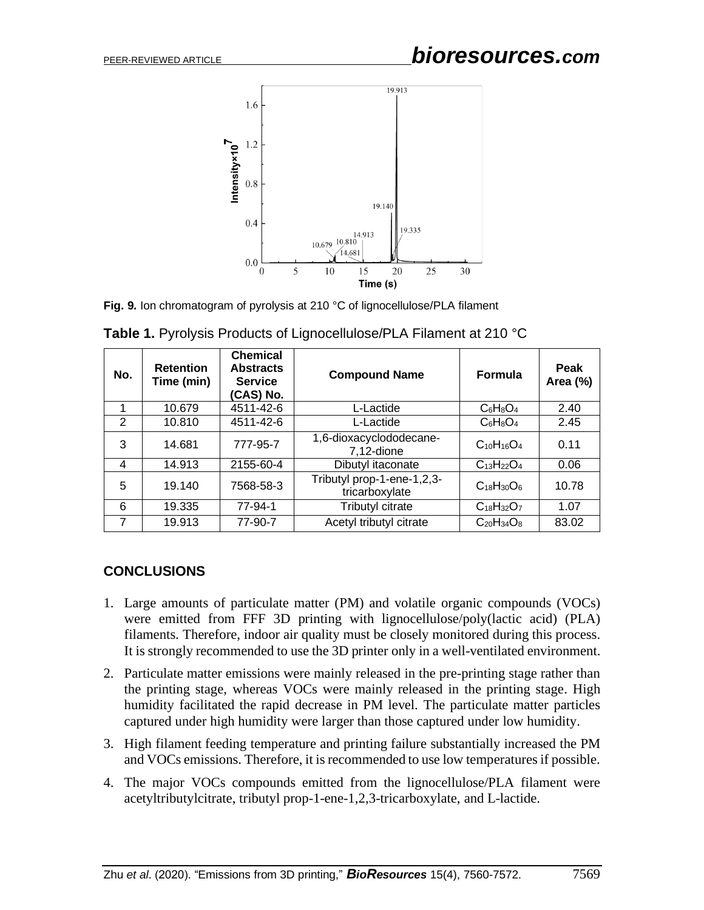

**Fig. 9.** Ion chromatogram of pyrolysis at 210 °C of lignocellulose/PLA filament

| No. | <b>Retention</b><br>Time (min) | <b>Chemical</b><br><b>Abstracts</b><br><b>Service</b><br>(CAS) No. | <b>Compound Name</b>                         | <b>Formula</b>    | Peak<br>Area (%) |
|-----|--------------------------------|--------------------------------------------------------------------|----------------------------------------------|-------------------|------------------|
|     | 10.679                         | 4511-42-6                                                          | L-Lactide                                    | $C_6H_8O_4$       | 2.40             |
| 2   | 10.810                         | 4511-42-6                                                          | L-Lactide                                    | $C_6H_8O_4$       | 2.45             |
| 3   | 14.681                         | 777-95-7                                                           | 1,6-dioxacyclododecane-<br>$7,12$ -dione     | $C_{10}H_{16}O_4$ | 0.11             |
| 4   | 14.913                         | 2155-60-4                                                          | Dibutyl itaconate                            | $C_{13}H_{22}O_4$ | 0.06             |
| 5   | 19.140                         | 7568-58-3                                                          | Tributyl prop-1-ene-1,2,3-<br>tricarboxylate | $C_{18}H_{30}O_6$ | 10.78            |
| 6   | 19.335                         | 77-94-1                                                            | Tributyl citrate                             | $C_{18}H_{32}O_7$ | 1.07             |
| 7   | 19.913                         | 77-90-7                                                            | Acetyl tributyl citrate                      | $C_{20}H_{34}O_8$ | 83.02            |

**Table 1.** Pyrolysis Products of Lignocellulose/PLA Filament at 210 °C

#### **CONCLUSIONS**

- 1. Large amounts of particulate matter (PM) and volatile organic compounds (VOCs) were emitted from FFF 3D printing with lignocellulose/poly(lactic acid) (PLA) filaments. Therefore, indoor air quality must be closely monitored during this process. It is strongly recommended to use the 3D printer only in a well-ventilated environment.
- 2. Particulate matter emissions were mainly released in the pre-printing stage rather than the printing stage, whereas VOCs were mainly released in the printing stage. High humidity facilitated the rapid decrease in PM level. The particulate matter particles captured under high humidity were larger than those captured under low humidity.
- 3. High filament feeding temperature and printing failure substantially increased the PM and VOCs emissions. Therefore, it is recommended to use low temperaturesif possible.
- 4. The major VOCs compounds emitted from the lignocellulose/PLA filament were acetyltributylcitrate, tributyl prop-1-ene-1,2,3-tricarboxylate, and L-lactide.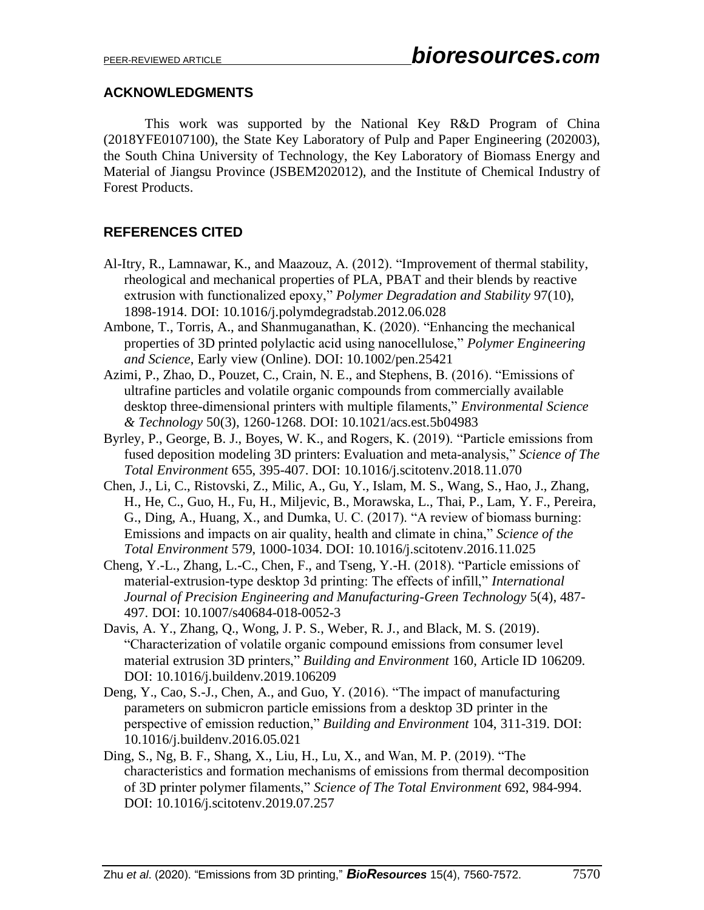#### **ACKNOWLEDGMENTS**

This work was supported by the National Key R&D Program of China (2018YFE0107100), the State Key Laboratory of Pulp and Paper Engineering (202003), the South China University of Technology, the Key Laboratory of Biomass Energy and Material of Jiangsu Province (JSBEM202012), and the Institute of Chemical Industry of Forest Products.

### **REFERENCES CITED**

- Al-Itry, R., Lamnawar, K., and Maazouz, A. (2012). "Improvement of thermal stability, rheological and mechanical properties of PLA, PBAT and their blends by reactive extrusion with functionalized epoxy," *Polymer Degradation and Stability* 97(10), 1898-1914. DOI: 10.1016/j.polymdegradstab.2012.06.028
- Ambone, T., Torris, A., and Shanmuganathan, K. (2020). "Enhancing the mechanical properties of 3D printed polylactic acid using nanocellulose," *Polymer Engineering and Science*, Early view (Online). DOI: 10.1002/pen.25421
- Azimi, P., Zhao, D., Pouzet, C., Crain, N. E., and Stephens, B. (2016). "Emissions of ultrafine particles and volatile organic compounds from commercially available desktop three-dimensional printers with multiple filaments," *Environmental Science & Technology* 50(3), 1260-1268. DOI: 10.1021/acs.est.5b04983
- Byrley, P., George, B. J., Boyes, W. K., and Rogers, K. (2019). "Particle emissions from fused deposition modeling 3D printers: Evaluation and meta-analysis," *Science of The Total Environment* 655, 395-407. DOI: 10.1016/j.scitotenv.2018.11.070
- Chen, J., Li, C., Ristovski, Z., Milic, A., Gu, Y., Islam, M. S., Wang, S., Hao, J., Zhang, H., He, C., Guo, H., Fu, H., Miljevic, B., Morawska, L., Thai, P., Lam, Y. F., Pereira, G., Ding, A., Huang, X., and Dumka, U. C. (2017). "A review of biomass burning: Emissions and impacts on air quality, health and climate in china," *Science of the Total Environment* 579, 1000-1034. DOI: 10.1016/j.scitotenv.2016.11.025
- Cheng, Y.-L., Zhang, L.-C., Chen, F., and Tseng, Y.-H. (2018). "Particle emissions of material-extrusion-type desktop 3d printing: The effects of infill," *International Journal of Precision Engineering and Manufacturing-Green Technology* 5(4), 487- 497. DOI: 10.1007/s40684-018-0052-3
- Davis, A. Y., Zhang, Q., Wong, J. P. S., Weber, R. J., and Black, M. S. (2019). "Characterization of volatile organic compound emissions from consumer level material extrusion 3D printers," *Building and Environment* 160, Article ID 106209. DOI: 10.1016/j.buildenv.2019.106209
- Deng, Y., Cao, S.-J., Chen, A., and Guo, Y. (2016). "The impact of manufacturing parameters on submicron particle emissions from a desktop 3D printer in the perspective of emission reduction," *Building and Environment* 104, 311-319. DOI: 10.1016/j.buildenv.2016.05.021
- Ding, S., Ng, B. F., Shang, X., Liu, H., Lu, X., and Wan, M. P. (2019). "The characteristics and formation mechanisms of emissions from thermal decomposition of 3D printer polymer filaments," *Science of The Total Environment* 692, 984-994. DOI: 10.1016/j.scitotenv.2019.07.257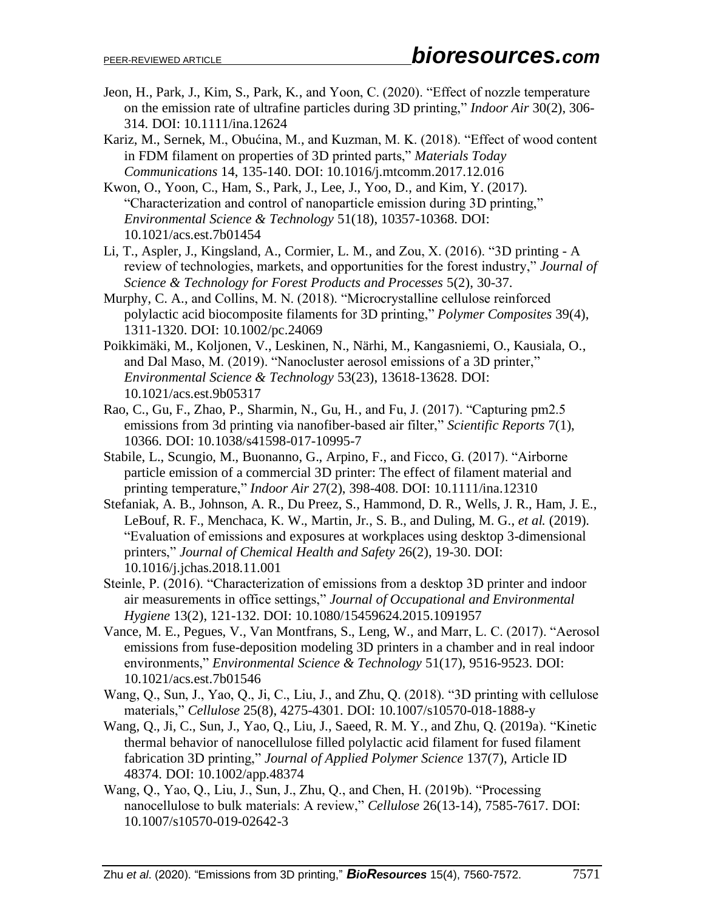- Jeon, H., Park, J., Kim, S., Park, K., and Yoon, C. (2020). "Effect of nozzle temperature on the emission rate of ultrafine particles during 3D printing," *Indoor Air* 30(2), 306- 314. DOI: 10.1111/ina.12624
- Kariz, M., Sernek, M., Obućina, M., and Kuzman, M. K. (2018). "Effect of wood content in FDM filament on properties of 3D printed parts," *Materials Today Communications* 14, 135-140. DOI: 10.1016/j.mtcomm.2017.12.016
- Kwon, O., Yoon, C., Ham, S., Park, J., Lee, J., Yoo, D., and Kim, Y. (2017). "Characterization and control of nanoparticle emission during 3D printing," *Environmental Science & Technology* 51(18), 10357-10368. DOI: 10.1021/acs.est.7b01454
- Li, T., Aspler, J., Kingsland, A., Cormier, L. M., and Zou, X. (2016). "3D printing A review of technologies, markets, and opportunities for the forest industry," *Journal of Science & Technology for Forest Products and Processes* 5(2), 30-37.
- Murphy, C. A., and Collins, M. N. (2018). "Microcrystalline cellulose reinforced polylactic acid biocomposite filaments for 3D printing," *Polymer Composites* 39(4), 1311-1320. DOI: 10.1002/pc.24069
- Poikkimäki, M., Koljonen, V., Leskinen, N., Närhi, M., Kangasniemi, O., Kausiala, O., and Dal Maso, M. (2019). "Nanocluster aerosol emissions of a 3D printer," *Environmental Science & Technology* 53(23), 13618-13628. DOI: 10.1021/acs.est.9b05317
- Rao, C., Gu, F., Zhao, P., Sharmin, N., Gu, H., and Fu, J. (2017). "Capturing pm2.5 emissions from 3d printing via nanofiber-based air filter," *Scientific Reports* 7(1), 10366. DOI: 10.1038/s41598-017-10995-7
- Stabile, L., Scungio, M., Buonanno, G., Arpino, F., and Ficco, G. (2017). "Airborne particle emission of a commercial 3D printer: The effect of filament material and printing temperature," *Indoor Air* 27(2), 398-408. DOI: 10.1111/ina.12310
- Stefaniak, A. B., Johnson, A. R., Du Preez, S., Hammond, D. R., Wells, J. R., Ham, J. E., LeBouf, R. F., Menchaca, K. W., Martin, Jr., S. B., and Duling, M. G., *et al.* (2019). "Evaluation of emissions and exposures at workplaces using desktop 3-dimensional printers," *Journal of Chemical Health and Safety* 26(2), 19-30. DOI: 10.1016/j.jchas.2018.11.001
- Steinle, P. (2016). "Characterization of emissions from a desktop 3D printer and indoor air measurements in office settings," *Journal of Occupational and Environmental Hygiene* 13(2), 121-132. DOI: 10.1080/15459624.2015.1091957
- Vance, M. E., Pegues, V., Van Montfrans, S., Leng, W., and Marr, L. C. (2017). "Aerosol emissions from fuse-deposition modeling 3D printers in a chamber and in real indoor environments," *Environmental Science & Technology* 51(17), 9516-9523. DOI: 10.1021/acs.est.7b01546
- Wang, Q., Sun, J., Yao, Q., Ji, C., Liu, J., and Zhu, Q. (2018). "3D printing with cellulose materials," *Cellulose* 25(8), 4275-4301. DOI: 10.1007/s10570-018-1888-y
- Wang, Q., Ji, C., Sun, J., Yao, Q., Liu, J., Saeed, R. M. Y., and Zhu, Q. (2019a). "Kinetic thermal behavior of nanocellulose filled polylactic acid filament for fused filament fabrication 3D printing," *Journal of Applied Polymer Science* 137(7), Article ID 48374. DOI: 10.1002/app.48374
- Wang, Q., Yao, Q., Liu, J., Sun, J., Zhu, Q., and Chen, H. (2019b). "Processing nanocellulose to bulk materials: A review," *Cellulose* 26(13-14), 7585-7617. DOI: 10.1007/s10570-019-02642-3